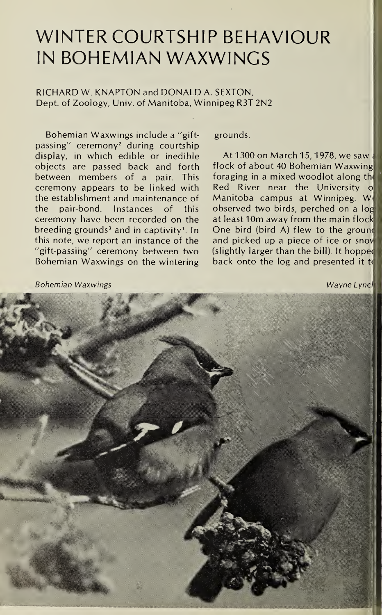## WINTER COURTSHIP BEHAVIOUR IN BOHEMIAN WAXWINGS

## RICHARD W. KNAPTON and DONALD A. SEXTON, Dept, of Zoology, Univ. of Manitoba, Winnipeg R3T 2N2

Bohemian Waxwings include a "giftpassing" ceremony<sup>2</sup> during courtship display, in which edible or inedible objects are passed back and forth between members of a pair. This ceremony appears to be linked with the establishment and maintenance of the pair-bond. Instances of this ceremony have been recorded on the breeding grounds<sup>3</sup> and in captivity<sup>1</sup>. In this note, we report an instance of the "gift-passing" ceremony between two Bohemian Waxwings on the wintering grounds.

At 1300 on March 15,1978, we saw ; flock of about 40 Bohemian Waxwing foraging in a mixed woodlot along th< Red River near the University o Manitoba campus at Winnipeg. W< observed two birds, perched on a log at least 10m away from the main flock One bird (bird A) flew to the grounc and picked up a piece of ice or snov (slightly larger than the bill). It hoppec back onto the log and presented it to

Bohemian Waxwings National Community Community Community Community Community Community Community Community Community Community Community Community Community Community Community Community Community Community Community Commu